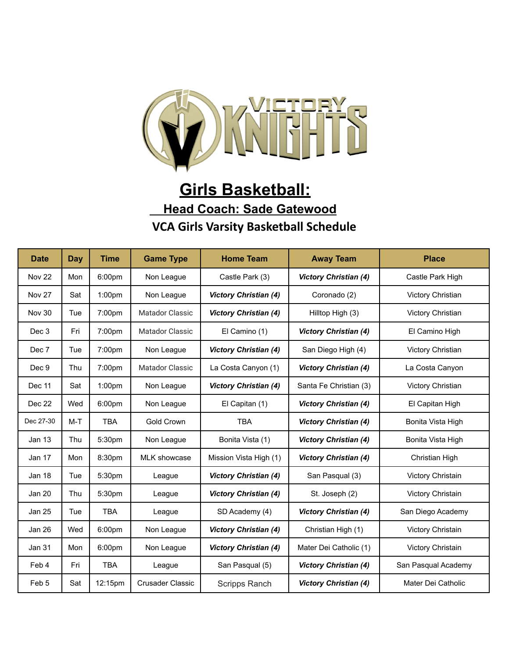

## **Girls Basketball: Head Coach: Sade Gatewood VCA Girls Varsity Basketball Schedule**

| <b>Date</b>      | <b>Day</b> | <b>Time</b>        | <b>Game Type</b>        | <b>Home Team</b>             | <b>Away Team</b>             | <b>Place</b>        |
|------------------|------------|--------------------|-------------------------|------------------------------|------------------------------|---------------------|
| <b>Nov 22</b>    | Mon        | 6:00pm             | Non League              | Castle Park (3)              | <b>Victory Christian (4)</b> | Castle Park High    |
| Nov 27           | Sat        | 1:00 <sub>pm</sub> | Non League              | <b>Victory Christian (4)</b> | Coronado (2)                 | Victory Christian   |
| <b>Nov 30</b>    | Tue        | 7:00pm             | Matador Classic         | <b>Victory Christian (4)</b> | Hilltop High (3)             | Victory Christian   |
| Dec 3            | Fri        | 7:00pm             | Matador Classic         | El Camino (1)                | <b>Victory Christian (4)</b> | El Camino High      |
| Dec 7            | Tue        | 7:00pm             | Non League              | <b>Victory Christian (4)</b> | San Diego High (4)           | Victory Christian   |
| Dec 9            | Thu        | 7:00pm             | <b>Matador Classic</b>  | La Costa Canyon (1)          | <b>Victory Christian (4)</b> | La Costa Canyon     |
| Dec 11           | Sat        | 1:00 <sub>pm</sub> | Non League              | <b>Victory Christian (4)</b> | Santa Fe Christian (3)       | Victory Christian   |
| Dec 22           | Wed        | 6:00pm             | Non League              | El Capitan (1)               | <b>Victory Christian (4)</b> | El Capitan High     |
| Dec 27-30        | $M-T$      | <b>TBA</b>         | Gold Crown              | <b>TBA</b>                   | <b>Victory Christian (4)</b> | Bonita Vista High   |
| Jan 13           | Thu        | 5:30pm             | Non League              | Bonita Vista (1)             | <b>Victory Christian (4)</b> | Bonita Vista High   |
| Jan 17           | Mon        | 8:30pm             | <b>MLK showcase</b>     | Mission Vista High (1)       | <b>Victory Christian (4)</b> | Christian High      |
| <b>Jan 18</b>    | Tue        | 5:30pm             | League                  | <b>Victory Christian (4)</b> | San Pasqual (3)              | Victory Christain   |
| <b>Jan 20</b>    | Thu        | 5:30pm             | League                  | <b>Victory Christian (4)</b> | St. Joseph (2)               | Victory Christain   |
| <b>Jan 25</b>    | Tue        | <b>TBA</b>         | League                  | SD Academy (4)               | <b>Victory Christian (4)</b> | San Diego Academy   |
| <b>Jan 26</b>    | Wed        | 6:00pm             | Non League              | <b>Victory Christian (4)</b> | Christian High (1)           | Victory Christain   |
| Jan 31           | Mon        | 6:00pm             | Non League              | <b>Victory Christian (4)</b> | Mater Dei Catholic (1)       | Victory Christain   |
| Feb 4            | Fri        | <b>TBA</b>         | League                  | San Pasqual (5)              | <b>Victory Christian (4)</b> | San Pasqual Academy |
| Feb <sub>5</sub> | Sat        | 12:15pm            | <b>Crusader Classic</b> | Scripps Ranch                | <b>Victory Christian (4)</b> | Mater Dei Catholic  |